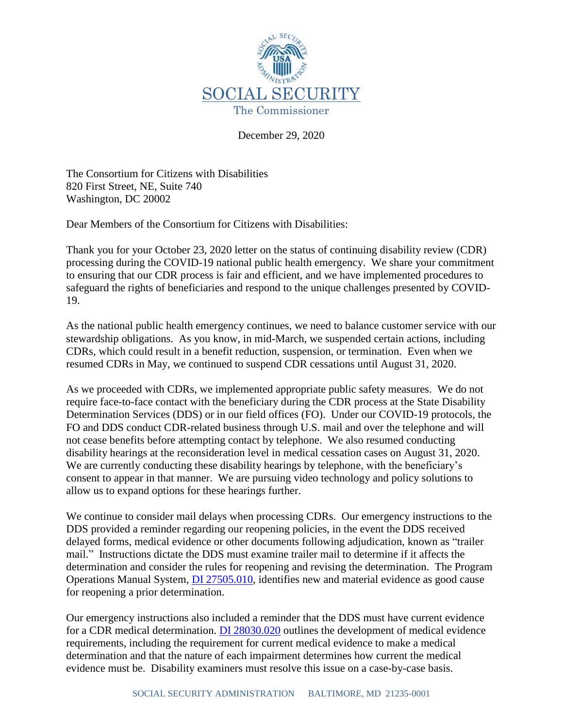

December 29, 2020

The Consortium for Citizens with Disabilities 820 First Street, NE, Suite 740 Washington, DC 20002

Dear Members of the Consortium for Citizens with Disabilities:

Thank you for your October 23, 2020 letter on the status of continuing disability review (CDR) processing during the COVID-19 national public health emergency. We share your commitment to ensuring that our CDR process is fair and efficient, and we have implemented procedures to safeguard the rights of beneficiaries and respond to the unique challenges presented by COVID-19.

As the national public health emergency continues, we need to balance customer service with our stewardship obligations. As you know, in mid-March, we suspended certain actions, including CDRs, which could result in a benefit reduction, suspension, or termination. Even when we resumed CDRs in May, we continued to suspend CDR cessations until August 31, 2020.

As we proceeded with CDRs, we implemented appropriate public safety measures. We do not require face-to-face contact with the beneficiary during the CDR process at the State Disability Determination Services (DDS) or in our field offices (FO). Under our COVID-19 protocols, the FO and DDS conduct CDR-related business through U.S. mail and over the telephone and will not cease benefits before attempting contact by telephone. We also resumed conducting disability hearings at the reconsideration level in medical cessation cases on August 31, 2020. We are currently conducting these disability hearings by telephone, with the beneficiary's consent to appear in that manner. We are pursuing video technology and policy solutions to allow us to expand options for these hearings further.

We continue to consider mail delays when processing CDRs. Our emergency instructions to the DDS provided a reminder regarding our reopening policies, in the event the DDS received delayed forms, medical evidence or other documents following adjudication, known as "trailer mail." Instructions dictate the DDS must examine trailer mail to determine if it affects the determination and consider the rules for reopening and revising the determination. The Program Operations Manual System, [DI 27505.010,](https://secure.ssa.gov/poms.nsf/lnx/0427505010) identifies new and material evidence as good cause for reopening a prior determination.

Our emergency instructions also included a reminder that the DDS must have current evidence for a CDR medical determination. [DI 28030.020](https://secure.ssa.gov/apps10/poms.nsf/lnx/0428030020) outlines the development of medical evidence requirements, including the requirement for current medical evidence to make a medical determination and that the nature of each impairment determines how current the medical evidence must be. Disability examiners must resolve this issue on a case-by-case basis.